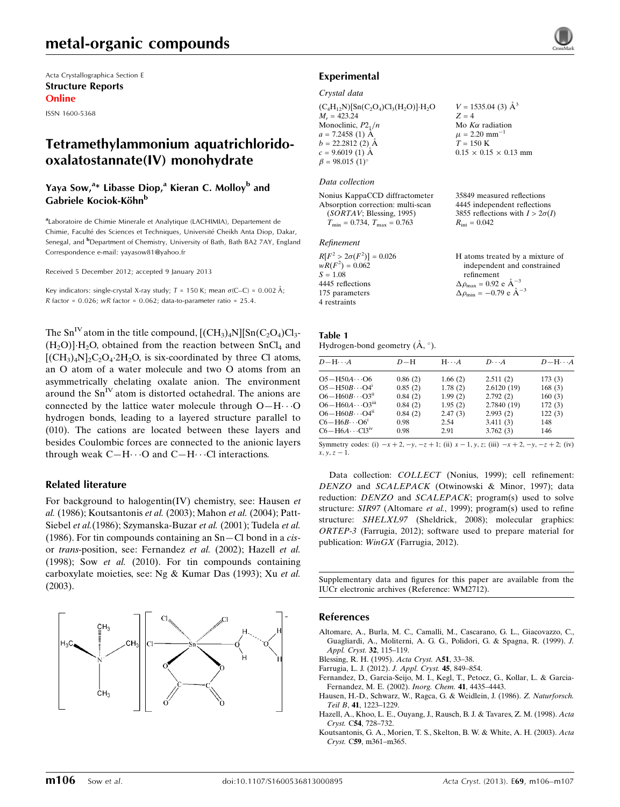# metal-organic compounds

Acta Crystallographica Section E Structure Reports Online

ISSN 1600-5368

# Tetramethylammonium aquatrichloridooxalatostannate(IV) monohydrate

# Yaya Sow,<sup>a</sup>\* Libasse Diop,<sup>a</sup> Kieran C. Molloy<sup>b</sup> and Gabriele Kociok-Köhn<sup>b</sup>

<sup>a</sup>Laboratoire de Chimie Minerale et Analytique (LACHIMIA), Departement de Chimie, Faculté des Sciences et Techniques, Université Cheikh Anta Diop, Dakar, Senegal, and <sup>b</sup>Department of Chemistry, University of Bath, Bath BA2 7AY, England Correspondence e-mail: [yayasow81@yahoo.fr](https://scripts.iucr.org/cgi-bin/cr.cgi?rm=pdfbb&cnor=wm2712&bbid=BB17)

Received 5 December 2012; accepted 9 January 2013

Key indicators: single-crystal X-ray study;  $T = 150$  K; mean  $\sigma$ (C–C) = 0.002 Å;  $R$  factor = 0.026; wR factor = 0.062; data-to-parameter ratio = 25.4.

The  $Sn^{\text{IV}}$  atom in the title compound,  $[(CH_3)_4N][Sn(C_2O_4)Cl_3$ - $(H_2O)$ ]  $H_2O$ , obtained from the reaction between SnCl<sub>4</sub> and  $[{\rm (CH_3)_4N}]_2C_2O_4.2H_2O$ , is six-coordinated by three Cl atoms, an O atom of a water molecule and two O atoms from an asymmetrically chelating oxalate anion. The environment around the  $Sn<sup>IV</sup>$  atom is distorted octahedral. The anions are connected by the lattice water molecule through  $O-H\cdots O$ hydrogen bonds, leading to a layered structure parallel to (010). The cations are located between these layers and besides Coulombic forces are connected to the anionic layers through weak  $C-H \cdots O$  and  $C-H \cdots Cl$  interactions.

#### Related literature

For background to halogentin(IV) chemistry, see: Hausen et al. (1986); Koutsantonis et al. (2003); Mahon et al. (2004); Patt-Siebel et al.(1986); Szymanska-Buzar et al. (2001); Tudela et al. (1986). For tin compounds containing an  $Sn-Cl$  bond in a *cis*or trans-position, see: Fernandez et al. (2002); Hazell et al. (1998); Sow et al. (2010). For tin compounds containing carboxylate moieties, see: Ng & Kumar Das (1993); Xu et al. (2003).



# Experimental

#### Crystal data

 $(C_4H_{12}N)[Sn(C_2O_4)Cl_3(H_2O)]·H_2O$  $M_r = 423.24$ Monoclinic,  $P2_1/n$  $a = 7.2458(1)$  Å  $b = 22.2812(2)$  Å  $c = 9.6019(1)$  Å  $\beta = 98.015$  (1)<sup>o</sup>

#### Data collection

Nonius KappaCCD diffractometer Absorption correction: multi-scan (SORTAV; Blessing, 1995)  $T_{\text{min}} = 0.734, T_{\text{max}} = 0.763$ 

#### Refinement

| $R[F^2 > 2\sigma(F^2)] = 0.026$ | H atoms treated by a mixture of                    |
|---------------------------------|----------------------------------------------------|
| $wR(F^2) = 0.062$               | independent and constrained                        |
| $S = 1.08$                      | refinement                                         |
| 4445 reflections                | $\Delta \rho_{\text{max}} = 0.92 \text{ e A}^{-3}$ |
| 175 parameters                  | $\Delta \rho_{\rm min} = -0.79$ e $\rm \AA^{-3}$   |
| 4 restraints                    |                                                    |

| Table 1                                       |  |  |
|-----------------------------------------------|--|--|
| Hydrogen-bond geometry $(\dot{A}, \degree)$ . |  |  |

| $D - H \cdots A$                    | $D-H$   | $H \cdot \cdot \cdot A$ | $D\cdots A$ | $D - H \cdots A$ |
|-------------------------------------|---------|-------------------------|-------------|------------------|
| $O5 - H50A \cdots O6$               | 0.86(2) | 1.66(2)                 | 2.511(2)    | 173(3)           |
| $O5 - H50B \cdots O4$ <sup>1</sup>  | 0.85(2) | 1.78(2)                 | 2.6120(19)  | 168(3)           |
| $O6 - H60B \cdots O3ii$             | 0.84(2) | 1.99(2)                 | 2.792(2)    | 160(3)           |
| $O6 - H60A \cdots O3m$              | 0.84(2) | 1.95(2)                 | 2.7840 (19) | 172(3)           |
| $O6 - H60B \cdots O4^n$             | 0.84(2) | 2.47(3)                 | 2.993(2)    | 122(3)           |
| $C6 - H6B \cdots O6^i$              | 0.98    | 2.54                    | 3.411(3)    | 148              |
| $C6 - H6A \cdots C13$ <sup>iv</sup> | 0.98    | 2.91                    | 3.762(3)    | 146              |

Symmetry codes: (i)  $-x + 2$ ,  $-y$ ,  $-z + 1$ ; (ii)  $x - 1$ ,  $y$ ,  $z$ ; (iii)  $-x + 2$ ,  $-y$ ,  $-z + 2$ ; (iv)  $x, y, z - 1.$ 

Data collection: COLLECT (Nonius, 1999); cell refinement: DENZO and SCALEPACK (Otwinowski & Minor, 1997); data reduction: DENZO and SCALEPACK; program(s) used to solve structure: SIR97 (Altomare et al., 1999); program(s) used to refine structure: SHELXL97 (Sheldrick, 2008); molecular graphics: ORTEP-3 (Farrugia, 2012); software used to prepare material for publication: WinGX (Farrugia, 2012).

Supplementary data and figures for this paper are available from the IUCr electronic archives (Reference: WM2712).

#### References

- [Altomare, A., Burla, M. C., Camalli, M., Cascarano, G. L., Giacovazzo, C.,](https://scripts.iucr.org/cgi-bin/cr.cgi?rm=pdfbb&cnor=wm2712&bbid=BB1) [Guagliardi, A., Moliterni, A. G. G., Polidori, G. & Spagna, R. \(1999\).](https://scripts.iucr.org/cgi-bin/cr.cgi?rm=pdfbb&cnor=wm2712&bbid=BB1) J. [Appl. Cryst.](https://scripts.iucr.org/cgi-bin/cr.cgi?rm=pdfbb&cnor=wm2712&bbid=BB1) 32, 115–119.
- [Blessing, R. H. \(1995\).](https://scripts.iucr.org/cgi-bin/cr.cgi?rm=pdfbb&cnor=wm2712&bbid=BB2) Acta Cryst. A51, 33–38.
- [Farrugia, L. J. \(2012\).](https://scripts.iucr.org/cgi-bin/cr.cgi?rm=pdfbb&cnor=wm2712&bbid=BB3) J. Appl. Cryst. 45, 849–854.
- [Fernandez, D., Garcia-Seijo, M. I., Kegl, T., Petocz, G., Kollar, L. & Garcia-](https://scripts.iucr.org/cgi-bin/cr.cgi?rm=pdfbb&cnor=wm2712&bbid=BB4)[Fernandez, M. E. \(2002\).](https://scripts.iucr.org/cgi-bin/cr.cgi?rm=pdfbb&cnor=wm2712&bbid=BB4) Inorg. Chem. 41, 4435–4443.
- [Hausen, H.-D., Schwarz, W., Ragca, G. & Weidlein, J. \(1986\).](https://scripts.iucr.org/cgi-bin/cr.cgi?rm=pdfbb&cnor=wm2712&bbid=BB5) Z. Naturforsch. Teil B, 41[, 1223–1229.](https://scripts.iucr.org/cgi-bin/cr.cgi?rm=pdfbb&cnor=wm2712&bbid=BB5)
- [Hazell, A., Khoo, L. E., Ouyang, J., Rausch, B. J. & Tavares, Z. M. \(1998\).](https://scripts.iucr.org/cgi-bin/cr.cgi?rm=pdfbb&cnor=wm2712&bbid=BB6) Acta Cryst. C54[, 728–732.](https://scripts.iucr.org/cgi-bin/cr.cgi?rm=pdfbb&cnor=wm2712&bbid=BB6)
- [Koutsantonis, G. A., Morien, T. S., Skelton, B. W. & White, A. H. \(2003\).](https://scripts.iucr.org/cgi-bin/cr.cgi?rm=pdfbb&cnor=wm2712&bbid=BB7) Acta Cryst. C59[, m361–m365.](https://scripts.iucr.org/cgi-bin/cr.cgi?rm=pdfbb&cnor=wm2712&bbid=BB7)



 $V = 1535.04$  (3)  $\AA^3$ 

Mo  $K\alpha$  radiation  $\mu$  = 2.20 mm<sup>-1</sup>  $T = 150 K$ 

 $R_{\text{int}} = 0.042$ 

 $0.15 \times 0.15 \times 0.13$  mm

35849 measured reflections 4445 independent reflections 3855 reflections with  $I > 2\sigma(I)$ 

 $Z = 4$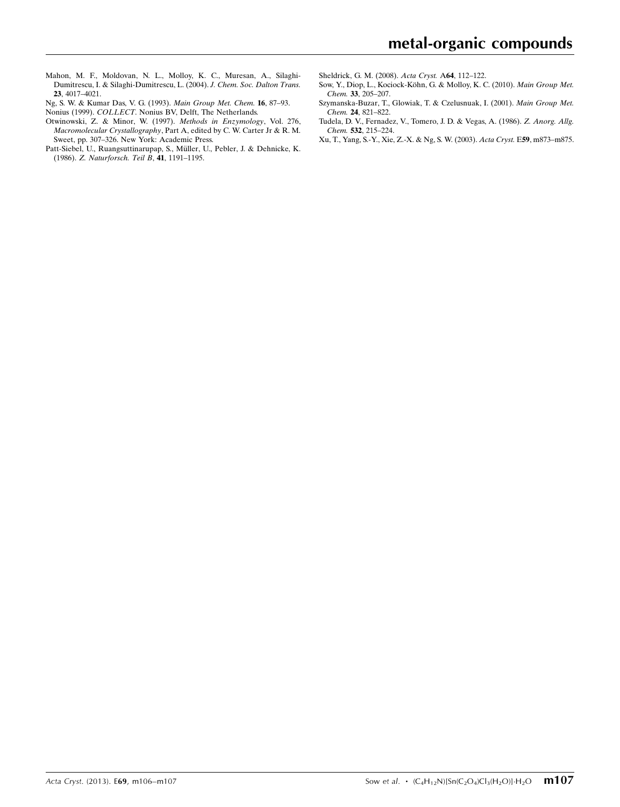- [Mahon, M. F., Moldovan, N. L., Molloy, K. C., Muresan, A., Silaghi-](https://scripts.iucr.org/cgi-bin/cr.cgi?rm=pdfbb&cnor=wm2712&bbid=BB8)[Dumitrescu, I. & Silaghi-Dumitrescu, L. \(2004\).](https://scripts.iucr.org/cgi-bin/cr.cgi?rm=pdfbb&cnor=wm2712&bbid=BB8) J. Chem. Soc. Dalton Trans. 23[, 4017–4021.](https://scripts.iucr.org/cgi-bin/cr.cgi?rm=pdfbb&cnor=wm2712&bbid=BB8)
- [Ng, S. W. & Kumar Das, V. G. \(1993\).](https://scripts.iucr.org/cgi-bin/cr.cgi?rm=pdfbb&cnor=wm2712&bbid=BB9) Main Group Met. Chem. 16, 87–93.
- Nonius (1999). COLLECT[. Nonius BV, Delft, The Netherlands.](https://scripts.iucr.org/cgi-bin/cr.cgi?rm=pdfbb&cnor=wm2712&bbid=BB10)
- [Otwinowski, Z. & Minor, W. \(1997\).](https://scripts.iucr.org/cgi-bin/cr.cgi?rm=pdfbb&cnor=wm2712&bbid=BB11) Methods in Enzymology, Vol. 276, Macromolecular Crystallography[, Part A, edited by C. W. Carter Jr & R. M.](https://scripts.iucr.org/cgi-bin/cr.cgi?rm=pdfbb&cnor=wm2712&bbid=BB11) [Sweet, pp. 307–326. New York: Academic Press.](https://scripts.iucr.org/cgi-bin/cr.cgi?rm=pdfbb&cnor=wm2712&bbid=BB11)
- Patt-Siebel, U., Ruangsuttinarupap, S., Müller, U., Pebler, J. & Dehnicke, K. (1986). [Z. Naturforsch. Teil B](https://scripts.iucr.org/cgi-bin/cr.cgi?rm=pdfbb&cnor=wm2712&bbid=BB12), 41, 1191–1195.
- [Sheldrick, G. M. \(2008\).](https://scripts.iucr.org/cgi-bin/cr.cgi?rm=pdfbb&cnor=wm2712&bbid=BB13) Acta Cryst. A64, 112–122.
- Sow, Y., Diop, L., Kociock-Köhn, G. & Molloy, K. C. (2010). Main Group Met. Chem. 33[, 205–207.](https://scripts.iucr.org/cgi-bin/cr.cgi?rm=pdfbb&cnor=wm2712&bbid=BB14)
- [Szymanska-Buzar, T., Glowiak, T. & Czelusnuak, I. \(2001\).](https://scripts.iucr.org/cgi-bin/cr.cgi?rm=pdfbb&cnor=wm2712&bbid=BB15) Main Group Met. Chem. 24[, 821–822.](https://scripts.iucr.org/cgi-bin/cr.cgi?rm=pdfbb&cnor=wm2712&bbid=BB15)
- [Tudela, D. V., Fernadez, V., Tomero, J. D. & Vegas, A. \(1986\).](https://scripts.iucr.org/cgi-bin/cr.cgi?rm=pdfbb&cnor=wm2712&bbid=BB16) Z. Anorg. Allg. Chem. 532[, 215–224.](https://scripts.iucr.org/cgi-bin/cr.cgi?rm=pdfbb&cnor=wm2712&bbid=BB16)
- [Xu, T., Yang, S.-Y., Xie, Z.-X. & Ng, S. W. \(2003\).](https://scripts.iucr.org/cgi-bin/cr.cgi?rm=pdfbb&cnor=wm2712&bbid=BB17) Acta Cryst. E59, m873–m875.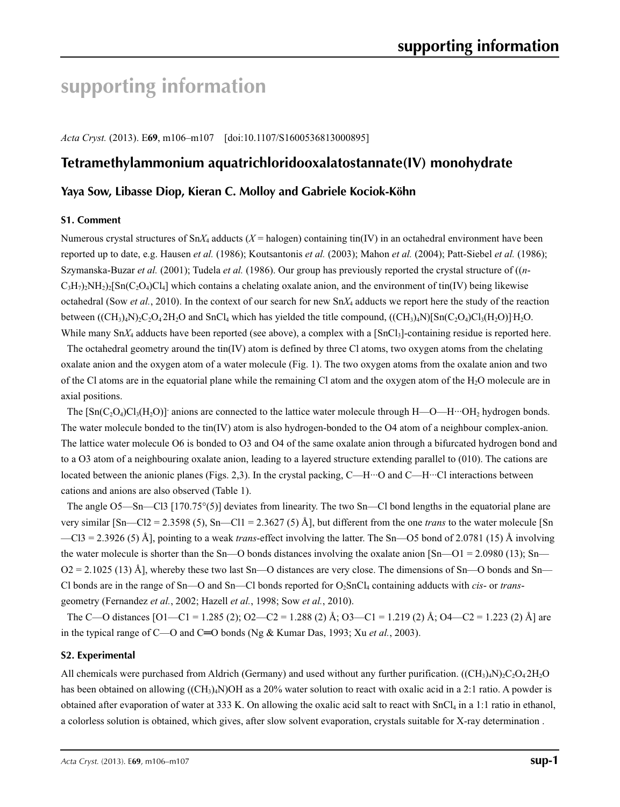# **supporting information**

*Acta Cryst.* (2013). E**69**, m106–m107 [doi:10.1107/S1600536813000895]

# **Tetramethylammonium aquatrichloridooxalatostannate(IV) monohydrate**

# **Yaya Sow, Libasse Diop, Kieran C. Molloy and Gabriele Kociok-Köhn**

#### **S1. Comment**

Numerous crystal structures of  $SnX_4$  adducts ( $X =$  halogen) containing tin(IV) in an octahedral environment have been reported up to date, e.g. Hausen *et al.* (1986); Koutsantonis *et al.* (2003); Mahon *et al.* (2004); Patt-Siebel *et al.* (1986); Szymanska-Buzar *et al.* (2001); Tudela *et al.* (1986). Our group has previously reported the crystal structure of ((*n*- $C_3H_7$ )<sub>2</sub>NH<sub>2</sub>)<sub>2</sub>[Sn(C<sub>2</sub>O<sub>4</sub>)Cl<sub>4</sub>] which contains a chelating oxalate anion, and the environment of tin(IV) being likewise octahedral (Sow *et al.*, 2010). In the context of our search for new Sn*X*4 adducts we report here the study of the reaction between  $((CH_3)_4N)_2C_2O_42H_2O$  and SnCl<sub>4</sub> which has yielded the title compound,  $((CH_3)_4N)[Sn(C_2O_4)Cl_3(H_2O)]H_2O$ . While many  $S_nX_4$  adducts have been reported (see above), a complex with a  $[S_nC_1]$ -containing residue is reported here.

The octahedral geometry around the  $\text{tin}(IV)$  atom is defined by three Cl atoms, two oxygen atoms from the chelating oxalate anion and the oxygen atom of a water molecule (Fig. 1). The two oxygen atoms from the oxalate anion and two of the Cl atoms are in the equatorial plane while the remaining Cl atom and the oxygen atom of the  $H_2O$  molecule are in axial positions.

The  $\text{[Sn(C_2O_4)Cl_3(H_2O)]}$  anions are connected to the lattice water molecule through  $H$ —O—H···OH<sub>2</sub> hydrogen bonds. The water molecule bonded to the tin(IV) atom is also hydrogen-bonded to the O4 atom of a neighbour complex-anion. The lattice water molecule O6 is bonded to O3 and O4 of the same oxalate anion through a bifurcated hydrogen bond and to a O3 atom of a neighbouring oxalate anion, leading to a layered structure extending parallel to (010). The cations are located between the anionic planes (Figs. 2,3). In the crystal packing, C—H···O and C—H···Cl interactions between cations and anions are also observed (Table 1).

The angle O5—Sn—Cl3 [170.75°(5)] deviates from linearity. The two Sn—Cl bond lengths in the equatorial plane are very similar [Sn—Cl2 = 2.3598 (5), Sn—Cl1 = 2.3627 (5) Å], but different from the one *trans* to the water molecule [Sn —Cl3 = 2.3926 (5) Å], pointing to a weak *trans*-effect involving the latter. The Sn—O5 bond of 2.0781 (15) Å involving the water molecule is shorter than the Sn—O bonds distances involving the oxalate anion  $[Sn—O1 = 2.0980 (13); Sn—$  $O2 = 2.1025$  (13) Å], whereby these two last Sn—O distances are very close. The dimensions of Sn—O bonds and Sn— Cl bonds are in the range of Sn—O and Sn—Cl bonds reported for O<sub>2</sub>SnCl<sub>4</sub> containing adducts with *cis*- or *trans*geometry (Fernandez *et al.*, 2002; Hazell *et al.*, 1998; Sow *et al.*, 2010).

The C—O distances  $[O1-C1 = 1.285 (2); O2-C2 = 1.288 (2)$  Å;  $O3-C1 = 1.219 (2)$  Å;  $O4-C2 = 1.223 (2)$  Å] are in the typical range of C—O and C═O bonds (Ng & Kumar Das, 1993; Xu *et al.*, 2003).

#### **S2. Experimental**

All chemicals were purchased from Aldrich (Germany) and used without any further purification.  $((CH_3)_4N)_2C_2O_42H_2O$ has been obtained on allowing ((CH<sub>3</sub>)<sub>4</sub>N)OH as a 20% water solution to react with oxalic acid in a 2:1 ratio. A powder is obtained after evaporation of water at 333 K. On allowing the oxalic acid salt to react with  $SnCl<sub>4</sub>$  in a 1:1 ratio in ethanol, a colorless solution is obtained, which gives, after slow solvent evaporation, crystals suitable for X-ray determination .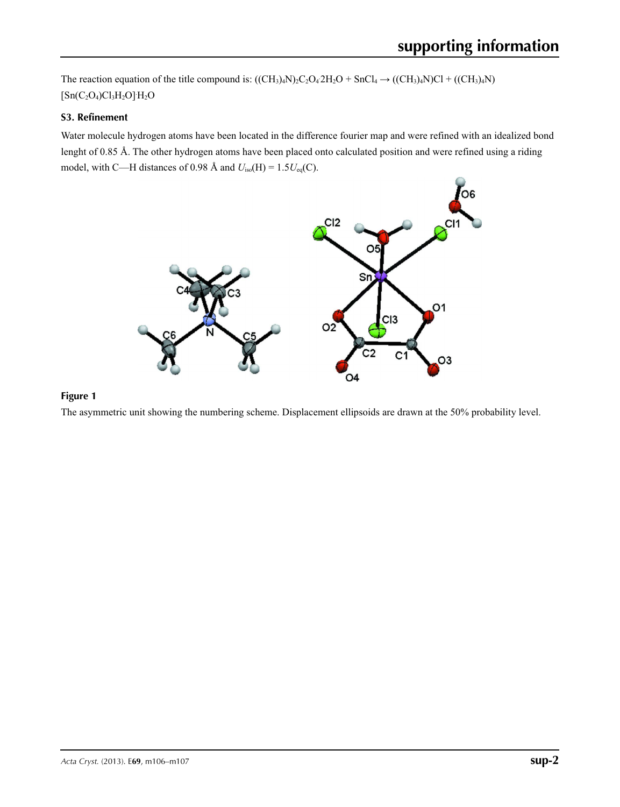The reaction equation of the title compound is:  $((CH_3)_4N)_2C_2O_42H_2O + SnCl_4 \rightarrow ((CH_3)_4N)Cl + ((CH_3)_4N)$  $[Sn(C_2O_4)Cl_3H_2O]H_2O$ 

# **S3. Refinement**

Water molecule hydrogen atoms have been located in the difference fourier map and were refined with an idealized bond lenght of 0.85 Å. The other hydrogen atoms have been placed onto calculated position and were refined using a riding model, with C—H distances of 0.98 Å and *U*iso(H) = 1.5*U*eq(C).



## **Figure 1**

The asymmetric unit showing the numbering scheme. Displacement ellipsoids are drawn at the 50% probability level.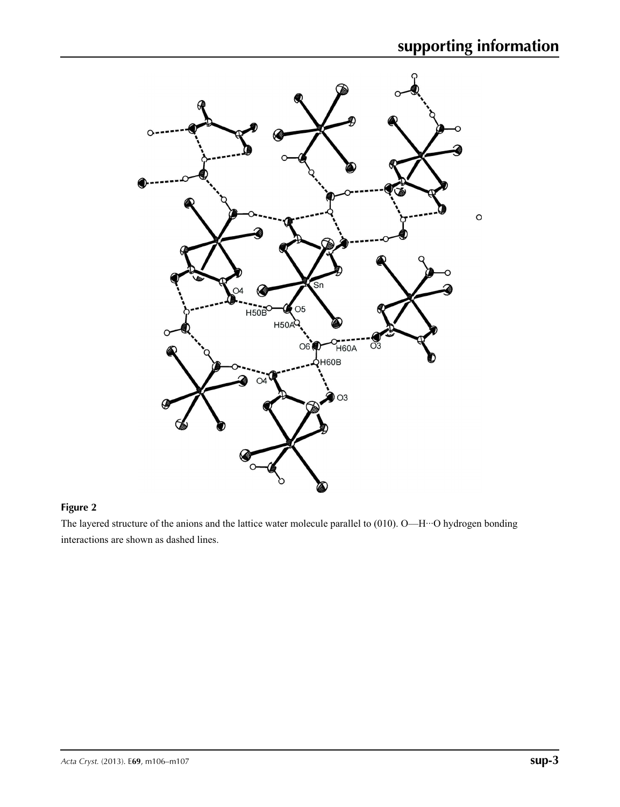

### **Figure 2**

The layered structure of the anions and the lattice water molecule parallel to (010). O—H···O hydrogen bonding interactions are shown as dashed lines.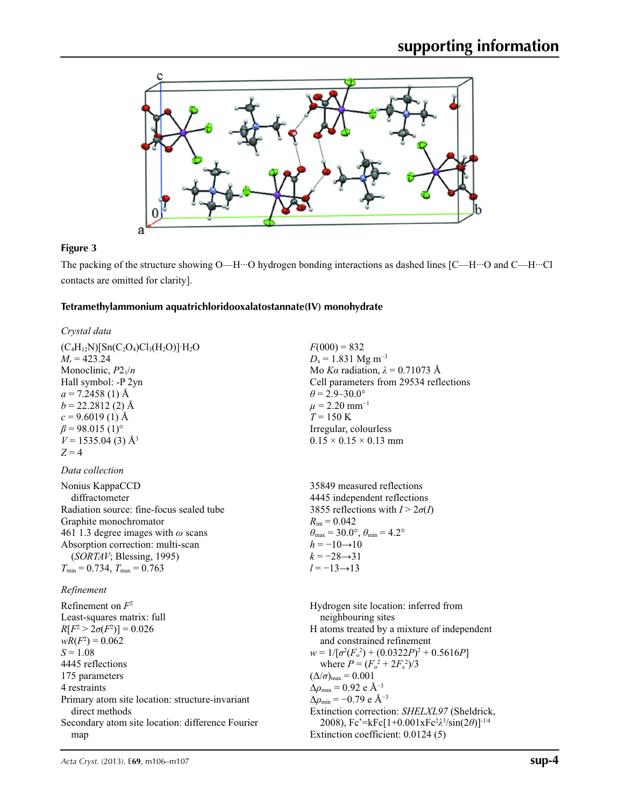

# **Figure 3**

The packing of the structure showing O—H···O hydrogen bonding interactions as dashed lines [C—H···O and C—H···Cl contacts are omitted for clarity].

# **Tetramethylammonium aquatrichloridooxalatostannate(IV) monohydrate**

| $F(000) = 832$<br>$D_x = 1.831$ Mg m <sup>-3</sup><br>Mo Ka radiation, $\lambda = 0.71073$ Å                                                                                                                                                                                                                                                                                                                                                                                                                                           |  |  |
|----------------------------------------------------------------------------------------------------------------------------------------------------------------------------------------------------------------------------------------------------------------------------------------------------------------------------------------------------------------------------------------------------------------------------------------------------------------------------------------------------------------------------------------|--|--|
| Cell parameters from 29534 reflections<br>$\theta$ = 2.9–30.0°<br>$\mu$ = 2.20 mm <sup>-1</sup><br>$T = 150 \text{ K}$<br>Irregular, colourless<br>$0.15 \times 0.15 \times 0.13$ mm                                                                                                                                                                                                                                                                                                                                                   |  |  |
|                                                                                                                                                                                                                                                                                                                                                                                                                                                                                                                                        |  |  |
| 35849 measured reflections<br>4445 independent reflections<br>3855 reflections with $I > 2\sigma(I)$<br>$R_{\text{int}} = 0.042$<br>$\theta_{\text{max}} = 30.0^{\circ}, \theta_{\text{min}} = 4.2^{\circ}$<br>$h = -10 \rightarrow 10$<br>$k = -28 \rightarrow 31$<br>$l = -13 \rightarrow 13$                                                                                                                                                                                                                                        |  |  |
|                                                                                                                                                                                                                                                                                                                                                                                                                                                                                                                                        |  |  |
| Hydrogen site location: inferred from<br>neighbouring sites<br>H atoms treated by a mixture of independent<br>and constrained refinement<br>$w = 1/[\sigma^2(F_0^2) + (0.0322P)^2 + 0.5616P]$<br>where $P = (F_0^2 + 2F_s^2)/3$<br>$(\Delta/\sigma)_{\text{max}} = 0.001$<br>$\Delta\rho_{\rm max}$ = 0.92 e Å <sup>-3</sup><br>$\Delta\rho_{\rm min} = -0.79 \text{ e A}^{-3}$<br>Extinction correction: SHELXL97 (Sheldrick,<br>2008), $Fc^* = kFc[1+0.001xFc^2\lambda^3/sin(2\theta)]^{-1/4}$<br>Extinction coefficient: 0.0124 (5) |  |  |
|                                                                                                                                                                                                                                                                                                                                                                                                                                                                                                                                        |  |  |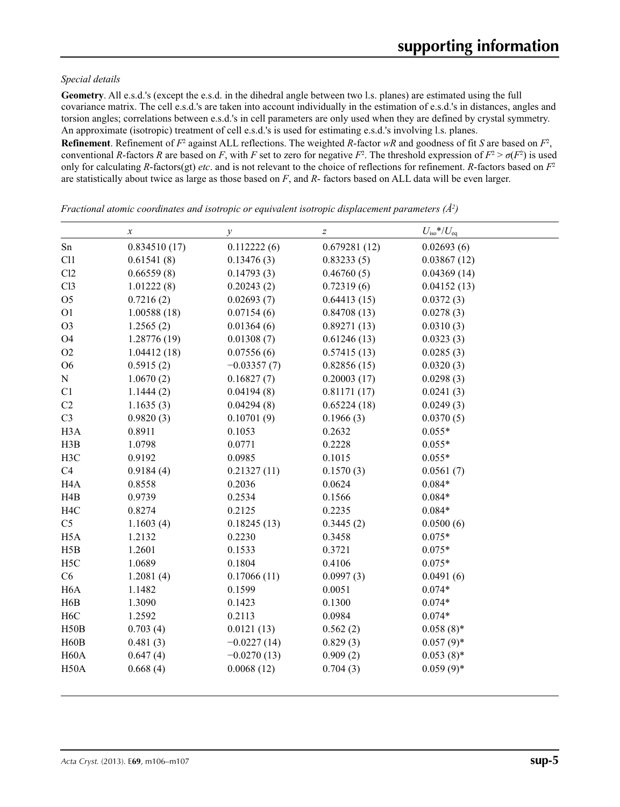### *Special details*

**Geometry**. All e.s.d.'s (except the e.s.d. in the dihedral angle between two l.s. planes) are estimated using the full covariance matrix. The cell e.s.d.'s are taken into account individually in the estimation of e.s.d.'s in distances, angles and torsion angles; correlations between e.s.d.'s in cell parameters are only used when they are defined by crystal symmetry. An approximate (isotropic) treatment of cell e.s.d.'s is used for estimating e.s.d.'s involving l.s. planes.

**Refinement**. Refinement of  $F^2$  against ALL reflections. The weighted R-factor wR and goodness of fit *S* are based on  $F^2$ , conventional *R*-factors *R* are based on *F*, with *F* set to zero for negative  $F^2$ . The threshold expression of  $F^2 > \sigma(F^2)$  is used only for calculating *R*-factors(gt) *etc*. and is not relevant to the choice of reflections for refinement. *R*-factors based on *F*<sup>2</sup> are statistically about twice as large as those based on *F*, and *R*- factors based on ALL data will be even larger.

*x*  $U_{\text{iso}}$  *y*  $Z$   $U_{\text{iso}}$  *V* $U_{\text{eq}}$ Sn 0.834510 (17) 0.112222 (6) 0.679281 (12) 0.02693 (6) Cl1 0.61541 (8) 0.13476 (3) 0.83233 (5) 0.03867 (12) Cl2 0.66559 (8) 0.14793 (3) 0.46760 (5) 0.04369 (14) Cl3 1.01222 (8) 0.20243 (2) 0.72319 (6) 0.04152 (13) O5 0.7216 (2) 0.02693 (7) 0.64413 (15) 0.0372 (3) O1 1.00588 (18) 0.07154 (6) 0.84708 (13) 0.0278 (3) O3 1.2565 (2) 0.01364 (6) 0.89271 (13) 0.0310 (3) O4 1.28776 (19) 0.01308 (7) 0.61246 (13) 0.0323 (3) O2 1.04412 (18) 0.07556 (6) 0.57415 (13) 0.0285 (3) O6 0.5915 (2) −0.03357 (7) 0.82856 (15) 0.0320 (3) N 1.0670 (2) 0.16827 (7) 0.20003 (17) 0.0298 (3) C1 1.1444 (2) 0.04194 (8) 0.81171 (17) 0.0241 (3) C2 1.1635 (3) 0.04294 (8) 0.65224 (18) 0.0249 (3) C3 0.9820 (3) 0.10701 (9) 0.1966 (3) 0.0370 (5) H3A 0.8911 0.1053 0.2632 0.055\* H3B 1.0798 0.0771 0.2228 0.055\* H3C 0.9192 0.0985 0.1015 0.055\* C4 0.9184 (4) 0.21327 (11) 0.1570 (3) 0.0561 (7) H4A 0.8558 0.2036 0.0624 0.084\* H4B 0.9739 0.2534 0.1566 0.084\* H4C 0.8274 0.2125 0.2235 0.084\* C5 1.1603 (4) 0.18245 (13) 0.3445 (2) 0.0500 (6) H5A 1.2132 0.2230 0.3458 0.075\* H5B 1.2601 0.1533 0.3721 0.075\* H5C 1.0689 0.1804 0.4106 0.075\* C6 1.2081 (4) 0.17066 (11) 0.0997 (3) 0.0491 (6) H6A 1.1482 0.1599 0.0051 0.074\* H6B 1.3090 0.1423 0.1300 0.074\* H6C 1.2592 0.2113 0.0984 0.074\* H50B 0.703 (4) 0.0121 (13) 0.562 (2) 0.058 (8)\* H60B 0.481 (3)  $-0.0227(14)$  0.829 (3) 0.057 (9)\* H60A  $0.647(4)$   $-0.0270(13)$   $0.909(2)$   $0.053(8)*$ H50A 0.668 (4) 0.0068 (12) 0.704 (3) 0.059 (9)\*

*Fractional atomic coordinates and isotropic or equivalent isotropic displacement parameters (Å2 )*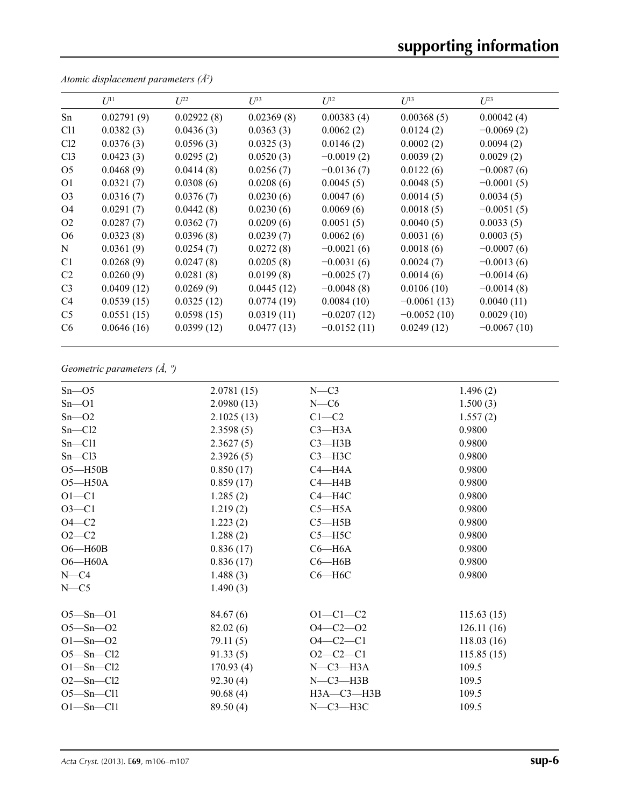# **supporting information**

|                 | $I$ <sup><math>11</math></sup> | $L^{22}$   | $\mathcal{L}^{\beta 3}$ | $U^{12}$      | $U^{13}$      | $U^{23}$      |
|-----------------|--------------------------------|------------|-------------------------|---------------|---------------|---------------|
| Sn              | 0.02791(9)                     | 0.02922(8) | 0.02369(8)              | 0.00383(4)    | 0.00368(5)    | 0.00042(4)    |
| C <sub>11</sub> | 0.0382(3)                      | 0.0436(3)  | 0.0363(3)               | 0.0062(2)     | 0.0124(2)     | $-0.0069(2)$  |
| Cl <sub>2</sub> | 0.0376(3)                      | 0.0596(3)  | 0.0325(3)               | 0.0146(2)     | 0.0002(2)     | 0.0094(2)     |
| Cl <sub>3</sub> | 0.0423(3)                      | 0.0295(2)  | 0.0520(3)               | $-0.0019(2)$  | 0.0039(2)     | 0.0029(2)     |
| O <sub>5</sub>  | 0.0468(9)                      | 0.0414(8)  | 0.0256(7)               | $-0.0136(7)$  | 0.0122(6)     | $-0.0087(6)$  |
| <b>O1</b>       | 0.0321(7)                      | 0.0308(6)  | 0.0208(6)               | 0.0045(5)     | 0.0048(5)     | $-0.0001(5)$  |
| O <sub>3</sub>  | 0.0316(7)                      | 0.0376(7)  | 0.0230(6)               | 0.0047(6)     | 0.0014(5)     | 0.0034(5)     |
| O <sub>4</sub>  | 0.0291(7)                      | 0.0442(8)  | 0.0230(6)               | 0.0069(6)     | 0.0018(5)     | $-0.0051(5)$  |
| O <sub>2</sub>  | 0.0287(7)                      | 0.0362(7)  | 0.0209(6)               | 0.0051(5)     | 0.0040(5)     | 0.0033(5)     |
| O6              | 0.0323(8)                      | 0.0396(8)  | 0.0239(7)               | 0.0062(6)     | 0.0031(6)     | 0.0003(5)     |
| N               | 0.0361(9)                      | 0.0254(7)  | 0.0272(8)               | $-0.0021(6)$  | 0.0018(6)     | $-0.0007(6)$  |
| C <sub>1</sub>  | 0.0268(9)                      | 0.0247(8)  | 0.0205(8)               | $-0.0031(6)$  | 0.0024(7)     | $-0.0013(6)$  |
| C <sub>2</sub>  | 0.0260(9)                      | 0.0281(8)  | 0.0199(8)               | $-0.0025(7)$  | 0.0014(6)     | $-0.0014(6)$  |
| C <sub>3</sub>  | 0.0409(12)                     | 0.0269(9)  | 0.0445(12)              | $-0.0048(8)$  | 0.0106(10)    | $-0.0014(8)$  |
| C <sub>4</sub>  | 0.0539(15)                     | 0.0325(12) | 0.0774(19)              | 0.0084(10)    | $-0.0061(13)$ | 0.0040(11)    |
| C <sub>5</sub>  | 0.0551(15)                     | 0.0598(15) | 0.0319(11)              | $-0.0207(12)$ | $-0.0052(10)$ | 0.0029(10)    |
| C <sub>6</sub>  | 0.0646(16)                     | 0.0399(12) | 0.0477(13)              | $-0.0152(11)$ | 0.0249(12)    | $-0.0067(10)$ |

*Atomic displacement parameters (Å2 )*

# *Geometric parameters (Å, º)*

| $Sn - O5$       | 2.0781(15) | $N-C3$             | 1.496(2)   |
|-----------------|------------|--------------------|------------|
| $Sn - O1$       | 2.0980(13) | $N-C6$             | 1.500(3)   |
| $Sn - O2$       | 2.1025(13) | $C1-C2$            | 1.557(2)   |
| $Sn - Cl2$      | 2.3598(5)  | $C3 - H3A$         | 0.9800     |
| $Sn - Cl1$      | 2.3627(5)  | $C3 - H3B$         | 0.9800     |
| Sn—C13          | 2.3926(5)  | $C3 - H3C$         | 0.9800     |
| $O5 - H50B$     | 0.850(17)  | $C4 - H4A$         | 0.9800     |
| $O5 - H50A$     | 0.859(17)  | $C4 - H4B$         | 0.9800     |
| $O1 - C1$       | 1.285(2)   | $C4 - H4C$         | 0.9800     |
| $O3 - C1$       | 1.219(2)   | $C5 - H5A$         | 0.9800     |
| $O4-C2$         | 1.223(2)   | $C5 - H5B$         | 0.9800     |
| $O2 - C2$       | 1.288(2)   | $C5 - H5C$         | 0.9800     |
| $O6 - H60B$     | 0.836(17)  | $C6 - H6A$         | 0.9800     |
| $O6 - H60A$     | 0.836(17)  | $C6 - H6B$         | 0.9800     |
| $N = C4$        | 1.488(3)   | $C6 - H6C$         | 0.9800     |
| $N = C$ 5       | 1.490(3)   |                    |            |
| $O5 - Sn - O1$  | 84.67(6)   | $O1 - C1 - C2$     | 115.63(15) |
| $O5 - Sn - O2$  | 82.02(6)   | $O4 - C2 - O2$     | 126.11(16) |
| $O1 - Sn - O2$  | 79.11(5)   | $O4 - C2 - C1$     | 118.03(16) |
| $O5 - Sn - Cl2$ | 91.33(5)   | $O2-C2-C1$         | 115.85(15) |
| $O1 - Sn - Cl2$ | 170.93(4)  | $N$ – $C3$ – $H3A$ | 109.5      |
| $O2 - Sn - Cl2$ | 92.30(4)   | $N-C3-H3B$         | 109.5      |
| $O5 - Sn - Cl1$ | 90.68(4)   | H3A-C3-H3B         | 109.5      |
| $O1 - Sn - Cl1$ | 89.50 (4)  | $N-C3-H3C$         | 109.5      |